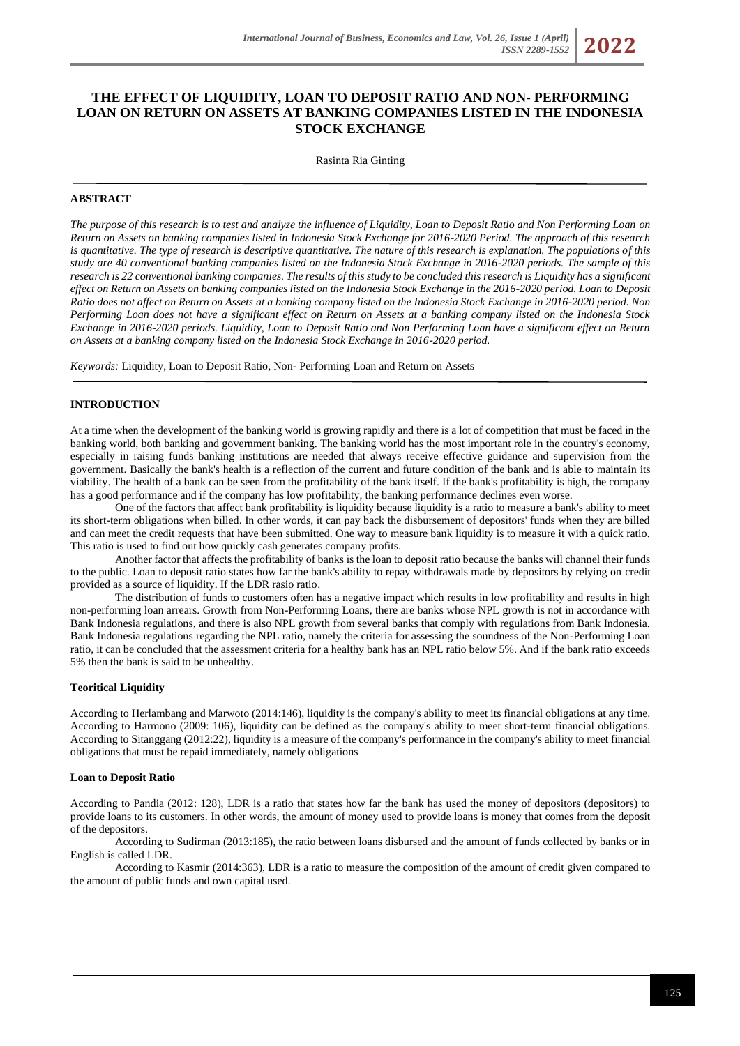# **THE EFFECT OF LIQUIDITY, LOAN TO DEPOSIT RATIO AND NON- PERFORMING LOAN ON RETURN ON ASSETS AT BANKING COMPANIES LISTED IN THE INDONESIA STOCK EXCHANGE**

Rasinta Ria Ginting

### **ABSTRACT**

*The purpose of this research is to test and analyze the influence of Liquidity, Loan to Deposit Ratio and Non Performing Loan on Return on Assets on banking companies listed in Indonesia Stock Exchange for 2016-2020 Period. The approach of this research*  is quantitative. The type of research is descriptive quantitative. The nature of this research is explanation. The populations of this *study are 40 conventional banking companies listed on the Indonesia Stock Exchange in 2016-2020 periods. The sample of this research is 22 conventional banking companies. The results of this study to be concluded this research is Liquidity has a significant effect on Return on Assets on banking companies listed on the Indonesia Stock Exchange in the 2016-2020 period. Loan to Deposit Ratio does not affect on Return on Assets at a banking company listed on the Indonesia Stock Exchange in 2016-2020 period. Non Performing Loan does not have a significant effect on Return on Assets at a banking company listed on the Indonesia Stock Exchange in 2016-2020 periods. Liquidity, Loan to Deposit Ratio and Non Performing Loan have a significant effect on Return on Assets at a banking company listed on the Indonesia Stock Exchange in 2016-2020 period.*

*Keywords:* Liquidity, Loan to Deposit Ratio, Non- Performing Loan and Return on Assets

# **INTRODUCTION**

At a time when the development of the banking world is growing rapidly and there is a lot of competition that must be faced in the banking world, both banking and government banking. The banking world has the most important role in the country's economy, especially in raising funds banking institutions are needed that always receive effective guidance and supervision from the government. Basically the bank's health is a reflection of the current and future condition of the bank and is able to maintain its viability. The health of a bank can be seen from the profitability of the bank itself. If the bank's profitability is high, the company has a good performance and if the company has low profitability, the banking performance declines even worse.

One of the factors that affect bank profitability is liquidity because liquidity is a ratio to measure a bank's ability to meet its short-term obligations when billed. In other words, it can pay back the disbursement of depositors' funds when they are billed and can meet the credit requests that have been submitted. One way to measure bank liquidity is to measure it with a quick ratio. This ratio is used to find out how quickly cash generates company profits.

Another factor that affects the profitability of banks is the loan to deposit ratio because the banks will channel their funds to the public. Loan to deposit ratio states how far the bank's ability to repay withdrawals made by depositors by relying on credit provided as a source of liquidity. If the LDR rasio ratio.

The distribution of funds to customers often has a negative impact which results in low profitability and results in high non-performing loan arrears. Growth from Non-Performing Loans, there are banks whose NPL growth is not in accordance with Bank Indonesia regulations, and there is also NPL growth from several banks that comply with regulations from Bank Indonesia. Bank Indonesia regulations regarding the NPL ratio, namely the criteria for assessing the soundness of the Non-Performing Loan ratio, it can be concluded that the assessment criteria for a healthy bank has an NPL ratio below 5%. And if the bank ratio exceeds 5% then the bank is said to be unhealthy.

### **Teoritical Liquidity**

According to Herlambang and Marwoto (2014:146), liquidity is the company's ability to meet its financial obligations at any time. According to Harmono (2009: 106), liquidity can be defined as the company's ability to meet short-term financial obligations. According to Sitanggang (2012:22), liquidity is a measure of the company's performance in the company's ability to meet financial obligations that must be repaid immediately, namely obligations

#### **Loan to Deposit Ratio**

According to Pandia (2012: 128), LDR is a ratio that states how far the bank has used the money of depositors (depositors) to provide loans to its customers. In other words, the amount of money used to provide loans is money that comes from the deposit of the depositors.

According to Sudirman (2013:185), the ratio between loans disbursed and the amount of funds collected by banks or in English is called LDR.

According to Kasmir (2014:363), LDR is a ratio to measure the composition of the amount of credit given compared to the amount of public funds and own capital used.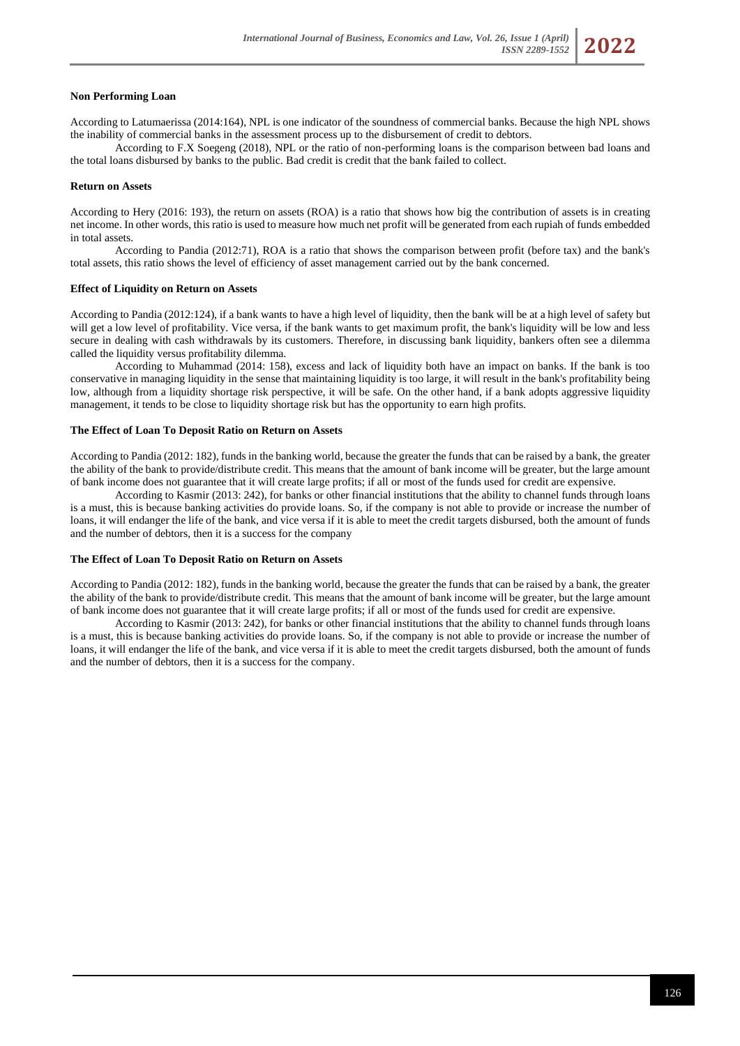### **Non Performing Loan**

According to Latumaerissa (2014:164), NPL is one indicator of the soundness of commercial banks. Because the high NPL shows the inability of commercial banks in the assessment process up to the disbursement of credit to debtors.

According to F.X Soegeng (2018), NPL or the ratio of non-performing loans is the comparison between bad loans and the total loans disbursed by banks to the public. Bad credit is credit that the bank failed to collect.

### **Return on Assets**

According to Hery (2016: 193), the return on assets (ROA) is a ratio that shows how big the contribution of assets is in creating net income. In other words, this ratio is used to measure how much net profit will be generated from each rupiah of funds embedded in total assets.

According to Pandia (2012:71), ROA is a ratio that shows the comparison between profit (before tax) and the bank's total assets, this ratio shows the level of efficiency of asset management carried out by the bank concerned.

### **Effect of Liquidity on Return on Assets**

According to Pandia (2012:124), if a bank wants to have a high level of liquidity, then the bank will be at a high level of safety but will get a low level of profitability. Vice versa, if the bank wants to get maximum profit, the bank's liquidity will be low and less secure in dealing with cash withdrawals by its customers. Therefore, in discussing bank liquidity, bankers often see a dilemma called the liquidity versus profitability dilemma.

According to Muhammad (2014: 158), excess and lack of liquidity both have an impact on banks. If the bank is too conservative in managing liquidity in the sense that maintaining liquidity is too large, it will result in the bank's profitability being low, although from a liquidity shortage risk perspective, it will be safe. On the other hand, if a bank adopts aggressive liquidity management, it tends to be close to liquidity shortage risk but has the opportunity to earn high profits.

### **The Effect of Loan To Deposit Ratio on Return on Assets**

According to Pandia (2012: 182), funds in the banking world, because the greater the funds that can be raised by a bank, the greater the ability of the bank to provide/distribute credit. This means that the amount of bank income will be greater, but the large amount of bank income does not guarantee that it will create large profits; if all or most of the funds used for credit are expensive.

According to Kasmir (2013: 242), for banks or other financial institutions that the ability to channel funds through loans is a must, this is because banking activities do provide loans. So, if the company is not able to provide or increase the number of loans, it will endanger the life of the bank, and vice versa if it is able to meet the credit targets disbursed, both the amount of funds and the number of debtors, then it is a success for the company

### **The Effect of Loan To Deposit Ratio on Return on Assets**

According to Pandia (2012: 182), funds in the banking world, because the greater the funds that can be raised by a bank, the greater the ability of the bank to provide/distribute credit. This means that the amount of bank income will be greater, but the large amount of bank income does not guarantee that it will create large profits; if all or most of the funds used for credit are expensive.

According to Kasmir (2013: 242), for banks or other financial institutions that the ability to channel funds through loans is a must, this is because banking activities do provide loans. So, if the company is not able to provide or increase the number of loans, it will endanger the life of the bank, and vice versa if it is able to meet the credit targets disbursed, both the amount of funds and the number of debtors, then it is a success for the company.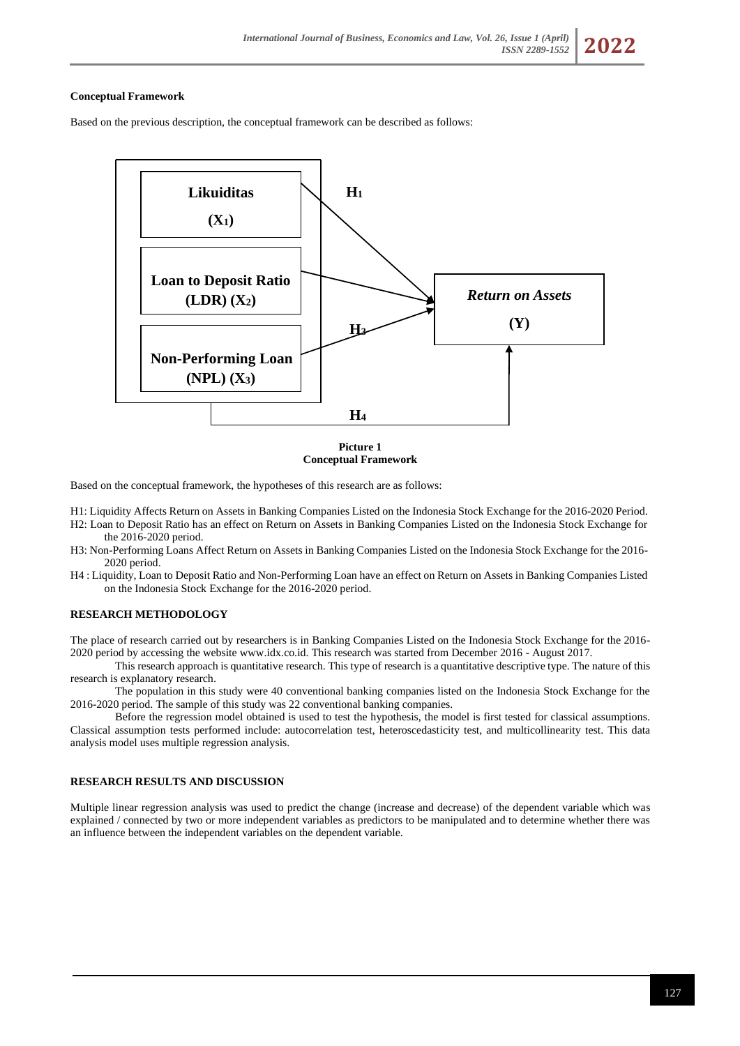### **Conceptual Framework**

Based on the previous description, the conceptual framework can be described as follows:



**Picture 1 Conceptual Framework**

Based on the conceptual framework, the hypotheses of this research are as follows:

- H1: Liquidity Affects Return on Assets in Banking Companies Listed on the Indonesia Stock Exchange for the 2016-2020 Period. H2: Loan to Deposit Ratio has an effect on Return on Assets in Banking Companies Listed on the Indonesia Stock Exchange for the 2016-2020 period.
- H3: Non-Performing Loans Affect Return on Assets in Banking Companies Listed on the Indonesia Stock Exchange for the 2016- 2020 period.
- H4 : Liquidity, Loan to Deposit Ratio and Non-Performing Loan have an effect on Return on Assets in Banking Companies Listed on the Indonesia Stock Exchange for the 2016-2020 period.

# **RESEARCH METHODOLOGY**

The place of research carried out by researchers is in Banking Companies Listed on the Indonesia Stock Exchange for the 2016- 2020 period by accessing the website www.idx.co.id. This research was started from December 2016 - August 2017.

This research approach is quantitative research. This type of research is a quantitative descriptive type. The nature of this research is explanatory research.

The population in this study were 40 conventional banking companies listed on the Indonesia Stock Exchange for the 2016-2020 period. The sample of this study was 22 conventional banking companies.

Before the regression model obtained is used to test the hypothesis, the model is first tested for classical assumptions. Classical assumption tests performed include: autocorrelation test, heteroscedasticity test, and multicollinearity test. This data analysis model uses multiple regression analysis.

# **RESEARCH RESULTS AND DISCUSSION**

Multiple linear regression analysis was used to predict the change (increase and decrease) of the dependent variable which was explained / connected by two or more independent variables as predictors to be manipulated and to determine whether there was an influence between the independent variables on the dependent variable.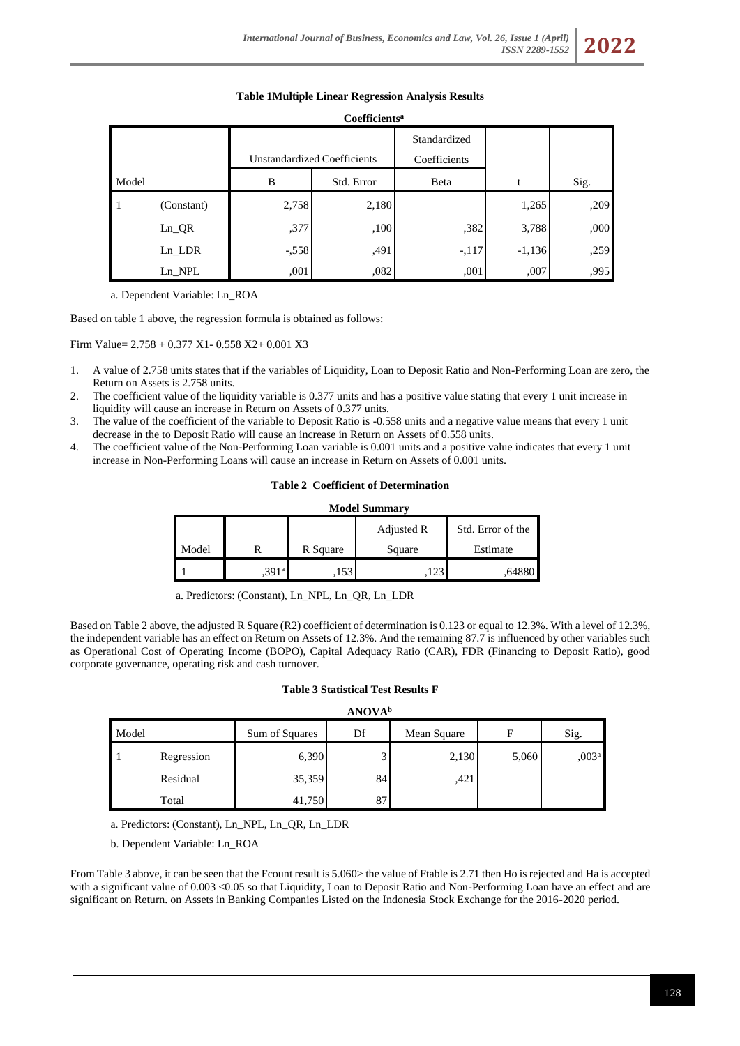*ISSN 2289-1552* **2022**

# **Table 1Multiple Linear Regression Analysis Results**

| Coefficients <sup>a</sup> |            |                                    |            |              |          |      |  |  |  |
|---------------------------|------------|------------------------------------|------------|--------------|----------|------|--|--|--|
|                           |            |                                    |            | Standardized |          |      |  |  |  |
|                           |            | <b>Unstandardized Coefficients</b> |            | Coefficients |          |      |  |  |  |
| Model                     |            | B                                  | Std. Error | Beta         | t        | Sig. |  |  |  |
| 1                         | (Constant) | 2,758                              | 2,180      |              | 1,265    | ,209 |  |  |  |
|                           | $Ln_QR$    | ,377                               | ,100       | ,382         | 3,788    | ,000 |  |  |  |
|                           | Ln LDR     | $-.558$                            | ,491       | $-.117$      | $-1,136$ | ,259 |  |  |  |
|                           | $Ln$ NPL   | .001                               | ,082       | ,001         | ,007     | ,995 |  |  |  |

a. Dependent Variable: Ln\_ROA

Based on table 1 above, the regression formula is obtained as follows:

Firm Value= 2.758 + 0.377 X1- 0.558 X2+ 0.001 X3

- 1. A value of 2.758 units states that if the variables of Liquidity, Loan to Deposit Ratio and Non-Performing Loan are zero, the Return on Assets is 2.758 units.
- 2. The coefficient value of the liquidity variable is 0.377 units and has a positive value stating that every 1 unit increase in liquidity will cause an increase in Return on Assets of 0.377 units.
- 3. The value of the coefficient of the variable to Deposit Ratio is -0.558 units and a negative value means that every 1 unit decrease in the to Deposit Ratio will cause an increase in Return on Assets of 0.558 units.
- 4. The coefficient value of the Non-Performing Loan variable is 0.001 units and a positive value indicates that every 1 unit increase in Non-Performing Loans will cause an increase in Return on Assets of 0.001 units.

# **Table 2 Coefficient of Determination**

| <b>Model Summary</b> |                   |          |        |                   |  |  |  |  |  |  |
|----------------------|-------------------|----------|--------|-------------------|--|--|--|--|--|--|
|                      |                   |          |        | Std. Error of the |  |  |  |  |  |  |
| Model                |                   | R Square | Square | Estimate          |  |  |  |  |  |  |
|                      | .391 <sup>a</sup> | 153      |        | .648              |  |  |  |  |  |  |

a. Predictors: (Constant), Ln\_NPL, Ln\_QR, Ln\_LDR

Based on Table 2 above, the adjusted R Square (R2) coefficient of determination is 0.123 or equal to 12.3%. With a level of 12.3%, the independent variable has an effect on Return on Assets of 12.3%. And the remaining 87.7 is influenced by other variables such as Operational Cost of Operating Income (BOPO), Capital Adequacy Ratio (CAR), FDR (Financing to Deposit Ratio), good corporate governance, operating risk and cash turnover.

# **Table 3 Statistical Test Results F**

| Model |            | Sum of Squares | Df | Mean Square | F     | Sig.               |
|-------|------------|----------------|----|-------------|-------|--------------------|
|       | Regression | 6,390          | ◡  | 2,130       | 5,060 | 0.003 <sup>a</sup> |
|       | Residual   | 35,359         | 84 | ,421        |       |                    |
|       | Total      | 41,750         | 87 |             |       |                    |

a. Predictors: (Constant), Ln\_NPL, Ln\_QR, Ln\_LDR

b. Dependent Variable: Ln\_ROA

From Table 3 above, it can be seen that the Fcount result is 5.060> the value of Ftable is 2.71 then Ho is rejected and Ha is accepted with a significant value of 0.003 <0.05 so that Liquidity, Loan to Deposit Ratio and Non-Performing Loan have an effect and are significant on Return. on Assets in Banking Companies Listed on the Indonesia Stock Exchange for the 2016-2020 period.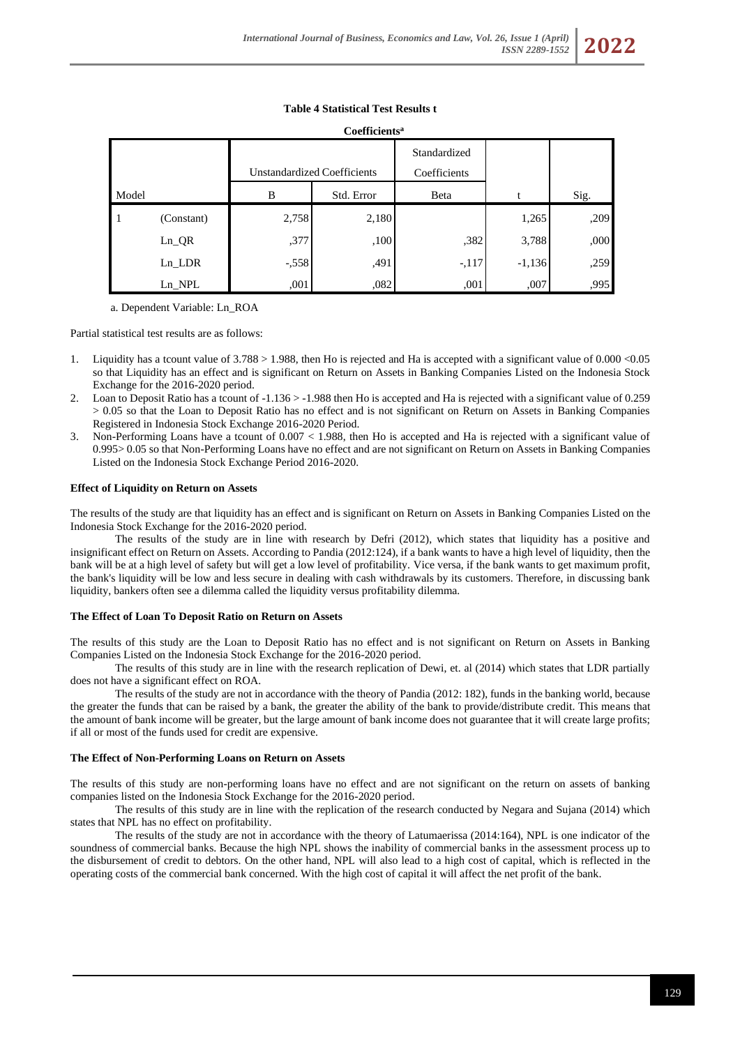# **Coefficients<sup>a</sup>** Model Unstandardized Coefficients Standardized Coefficients B Std. Error Beta t Sig. 1 (Constant) 2,758 2,180 1,265 ,209 Ln\_QR ,377 ,100 ,100 ,382 3,788 ,000 Ln\_LDR -,558 ,491 -,117 -1,136 ,259 1995, Dn\_NPL ,001 ,001 ,001 ,001 ,001 ,005 ,001

# **Table 4 Statistical Test Results t**

a. Dependent Variable: Ln\_ROA

Partial statistical test results are as follows:

- 1. Liquidity has a tcount value of  $3.788 > 1.988$ , then Ho is rejected and Ha is accepted with a significant value of 0.000 <0.05 so that Liquidity has an effect and is significant on Return on Assets in Banking Companies Listed on the Indonesia Stock Exchange for the 2016-2020 period.
- 2. Loan to Deposit Ratio has a tcount of -1.136 > -1.988 then Ho is accepted and Ha is rejected with a significant value of 0.259 > 0.05 so that the Loan to Deposit Ratio has no effect and is not significant on Return on Assets in Banking Companies Registered in Indonesia Stock Exchange 2016-2020 Period.
- 3. Non-Performing Loans have a tcount of 0.007 < 1.988, then Ho is accepted and Ha is rejected with a significant value of 0.995> 0.05 so that Non-Performing Loans have no effect and are not significant on Return on Assets in Banking Companies Listed on the Indonesia Stock Exchange Period 2016-2020.

# **Effect of Liquidity on Return on Assets**

The results of the study are that liquidity has an effect and is significant on Return on Assets in Banking Companies Listed on the Indonesia Stock Exchange for the 2016-2020 period.

The results of the study are in line with research by Defri (2012), which states that liquidity has a positive and insignificant effect on Return on Assets. According to Pandia (2012:124), if a bank wants to have a high level of liquidity, then the bank will be at a high level of safety but will get a low level of profitability. Vice versa, if the bank wants to get maximum profit, the bank's liquidity will be low and less secure in dealing with cash withdrawals by its customers. Therefore, in discussing bank liquidity, bankers often see a dilemma called the liquidity versus profitability dilemma.

# **The Effect of Loan To Deposit Ratio on Return on Assets**

The results of this study are the Loan to Deposit Ratio has no effect and is not significant on Return on Assets in Banking Companies Listed on the Indonesia Stock Exchange for the 2016-2020 period.

The results of this study are in line with the research replication of Dewi, et. al (2014) which states that LDR partially does not have a significant effect on ROA.

The results of the study are not in accordance with the theory of Pandia (2012: 182), funds in the banking world, because the greater the funds that can be raised by a bank, the greater the ability of the bank to provide/distribute credit. This means that the amount of bank income will be greater, but the large amount of bank income does not guarantee that it will create large profits; if all or most of the funds used for credit are expensive.

# **The Effect of Non-Performing Loans on Return on Assets**

The results of this study are non-performing loans have no effect and are not significant on the return on assets of banking companies listed on the Indonesia Stock Exchange for the 2016-2020 period.

The results of this study are in line with the replication of the research conducted by Negara and Sujana (2014) which states that NPL has no effect on profitability.

The results of the study are not in accordance with the theory of Latumaerissa (2014:164), NPL is one indicator of the soundness of commercial banks. Because the high NPL shows the inability of commercial banks in the assessment process up to the disbursement of credit to debtors. On the other hand, NPL will also lead to a high cost of capital, which is reflected in the operating costs of the commercial bank concerned. With the high cost of capital it will affect the net profit of the bank.